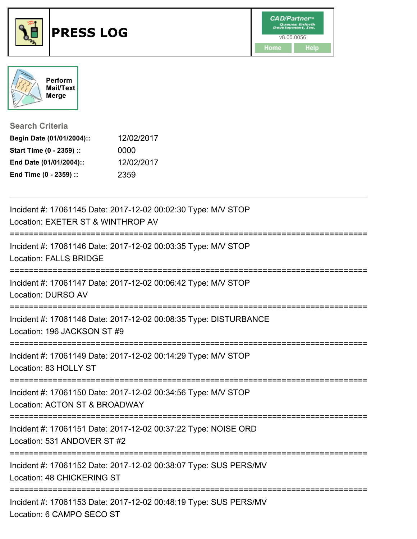



**Search Criteria**

| Begin Date (01/01/2004):: | 12/02/2017 |
|---------------------------|------------|
| Start Time (0 - 2359) ::  | 0000       |
| End Date (01/01/2004)::   | 12/02/2017 |
| End Time (0 - 2359) ::    | 2359       |

| Incident #: 17061145 Date: 2017-12-02 00:02:30 Type: M/V STOP<br>Location: EXETER ST & WINTHROP AV                  |
|---------------------------------------------------------------------------------------------------------------------|
| Incident #: 17061146 Date: 2017-12-02 00:03:35 Type: M/V STOP<br><b>Location: FALLS BRIDGE</b>                      |
| Incident #: 17061147 Date: 2017-12-02 00:06:42 Type: M/V STOP<br>Location: DURSO AV                                 |
| Incident #: 17061148 Date: 2017-12-02 00:08:35 Type: DISTURBANCE<br>Location: 196 JACKSON ST #9                     |
| Incident #: 17061149 Date: 2017-12-02 00:14:29 Type: M/V STOP<br>Location: 83 HOLLY ST<br>------------------------- |
| Incident #: 17061150 Date: 2017-12-02 00:34:56 Type: M/V STOP<br>Location: ACTON ST & BROADWAY                      |
| Incident #: 17061151 Date: 2017-12-02 00:37:22 Type: NOISE ORD<br>Location: 531 ANDOVER ST #2                       |
| Incident #: 17061152 Date: 2017-12-02 00:38:07 Type: SUS PERS/MV<br>Location: 48 CHICKERING ST                      |
| Incident #: 17061153 Date: 2017-12-02 00:48:19 Type: SUS PERS/MV<br>Location: 6 CAMPO SECO ST                       |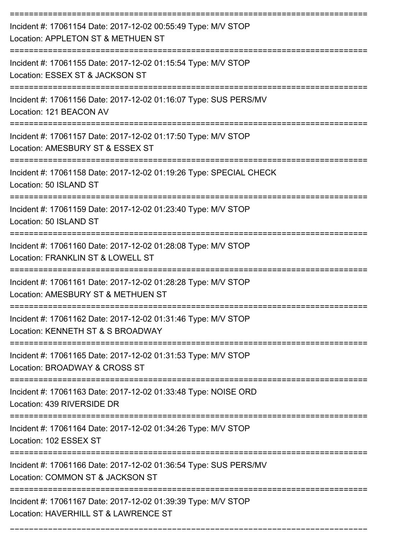| Incident #: 17061154 Date: 2017-12-02 00:55:49 Type: M/V STOP<br>Location: APPLETON ST & METHUEN ST   |
|-------------------------------------------------------------------------------------------------------|
| Incident #: 17061155 Date: 2017-12-02 01:15:54 Type: M/V STOP<br>Location: ESSEX ST & JACKSON ST      |
| Incident #: 17061156 Date: 2017-12-02 01:16:07 Type: SUS PERS/MV<br>Location: 121 BEACON AV           |
| Incident #: 17061157 Date: 2017-12-02 01:17:50 Type: M/V STOP<br>Location: AMESBURY ST & ESSEX ST     |
| Incident #: 17061158 Date: 2017-12-02 01:19:26 Type: SPECIAL CHECK<br>Location: 50 ISLAND ST          |
| Incident #: 17061159 Date: 2017-12-02 01:23:40 Type: M/V STOP<br>Location: 50 ISLAND ST               |
| Incident #: 17061160 Date: 2017-12-02 01:28:08 Type: M/V STOP<br>Location: FRANKLIN ST & LOWELL ST    |
| Incident #: 17061161 Date: 2017-12-02 01:28:28 Type: M/V STOP<br>Location: AMESBURY ST & METHUEN ST   |
| Incident #: 17061162 Date: 2017-12-02 01:31:46 Type: M/V STOP<br>Location: KENNETH ST & S BROADWAY    |
| Incident #: 17061165 Date: 2017-12-02 01:31:53 Type: M/V STOP<br>Location: BROADWAY & CROSS ST        |
| Incident #: 17061163 Date: 2017-12-02 01:33:48 Type: NOISE ORD<br>Location: 439 RIVERSIDE DR          |
| Incident #: 17061164 Date: 2017-12-02 01:34:26 Type: M/V STOP<br>Location: 102 ESSEX ST               |
| Incident #: 17061166 Date: 2017-12-02 01:36:54 Type: SUS PERS/MV<br>Location: COMMON ST & JACKSON ST  |
| Incident #: 17061167 Date: 2017-12-02 01:39:39 Type: M/V STOP<br>Location: HAVERHILL ST & LAWRENCE ST |

===========================================================================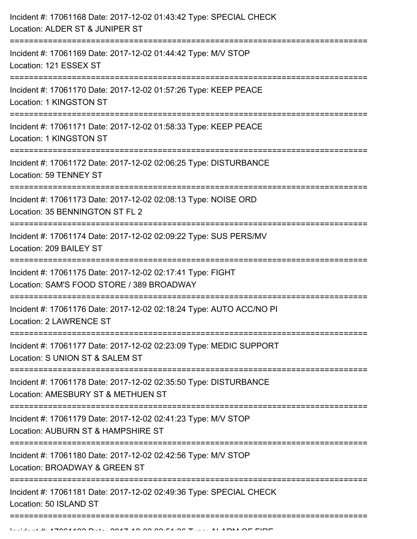| Incident #: 17061169 Date: 2017-12-02 01:44:42 Type: M/V STOP<br>Location: 121 ESSEX ST<br>Incident #: 17061170 Date: 2017-12-02 01:57:26 Type: KEEP PEACE<br>Location: 1 KINGSTON ST<br>Incident #: 17061171 Date: 2017-12-02 01:58:33 Type: KEEP PEACE<br>Location: 1 KINGSTON ST<br>Incident #: 17061172 Date: 2017-12-02 02:06:25 Type: DISTURBANCE<br><b>Location: 59 TENNEY ST</b><br>Incident #: 17061173 Date: 2017-12-02 02:08:13 Type: NOISE ORD<br>Location: 35 BENNINGTON ST FL 2<br>Incident #: 17061174 Date: 2017-12-02 02:09:22 Type: SUS PERS/MV<br>Location: 209 BAILEY ST<br>Incident #: 17061175 Date: 2017-12-02 02:17:41 Type: FIGHT<br>Location: SAM'S FOOD STORE / 389 BROADWAY<br>Incident #: 17061176 Date: 2017-12-02 02:18:24 Type: AUTO ACC/NO PI<br>Location: 2 LAWRENCE ST<br>Incident #: 17061177 Date: 2017-12-02 02:23:09 Type: MEDIC SUPPORT<br>Location: S UNION ST & SALEM ST<br>Incident #: 17061178 Date: 2017-12-02 02:35:50 Type: DISTURBANCE<br>Location: AMESBURY ST & METHUEN ST<br>Incident #: 17061179 Date: 2017-12-02 02:41:23 Type: M/V STOP<br>Location: AUBURN ST & HAMPSHIRE ST<br>Incident #: 17061180 Date: 2017-12-02 02:42:56 Type: M/V STOP<br>Location: BROADWAY & GREEN ST<br>Incident #: 17061181 Date: 2017-12-02 02:49:36 Type: SPECIAL CHECK<br>Location: 50 ISLAND ST | Incident #: 17061168 Date: 2017-12-02 01:43:42 Type: SPECIAL CHECK<br>Location: ALDER ST & JUNIPER ST |
|---------------------------------------------------------------------------------------------------------------------------------------------------------------------------------------------------------------------------------------------------------------------------------------------------------------------------------------------------------------------------------------------------------------------------------------------------------------------------------------------------------------------------------------------------------------------------------------------------------------------------------------------------------------------------------------------------------------------------------------------------------------------------------------------------------------------------------------------------------------------------------------------------------------------------------------------------------------------------------------------------------------------------------------------------------------------------------------------------------------------------------------------------------------------------------------------------------------------------------------------------------------------------------------------------------------------------------------|-------------------------------------------------------------------------------------------------------|
|                                                                                                                                                                                                                                                                                                                                                                                                                                                                                                                                                                                                                                                                                                                                                                                                                                                                                                                                                                                                                                                                                                                                                                                                                                                                                                                                       | =================================                                                                     |
|                                                                                                                                                                                                                                                                                                                                                                                                                                                                                                                                                                                                                                                                                                                                                                                                                                                                                                                                                                                                                                                                                                                                                                                                                                                                                                                                       |                                                                                                       |
|                                                                                                                                                                                                                                                                                                                                                                                                                                                                                                                                                                                                                                                                                                                                                                                                                                                                                                                                                                                                                                                                                                                                                                                                                                                                                                                                       |                                                                                                       |
|                                                                                                                                                                                                                                                                                                                                                                                                                                                                                                                                                                                                                                                                                                                                                                                                                                                                                                                                                                                                                                                                                                                                                                                                                                                                                                                                       |                                                                                                       |
|                                                                                                                                                                                                                                                                                                                                                                                                                                                                                                                                                                                                                                                                                                                                                                                                                                                                                                                                                                                                                                                                                                                                                                                                                                                                                                                                       |                                                                                                       |
|                                                                                                                                                                                                                                                                                                                                                                                                                                                                                                                                                                                                                                                                                                                                                                                                                                                                                                                                                                                                                                                                                                                                                                                                                                                                                                                                       |                                                                                                       |
|                                                                                                                                                                                                                                                                                                                                                                                                                                                                                                                                                                                                                                                                                                                                                                                                                                                                                                                                                                                                                                                                                                                                                                                                                                                                                                                                       |                                                                                                       |
|                                                                                                                                                                                                                                                                                                                                                                                                                                                                                                                                                                                                                                                                                                                                                                                                                                                                                                                                                                                                                                                                                                                                                                                                                                                                                                                                       |                                                                                                       |
|                                                                                                                                                                                                                                                                                                                                                                                                                                                                                                                                                                                                                                                                                                                                                                                                                                                                                                                                                                                                                                                                                                                                                                                                                                                                                                                                       |                                                                                                       |
|                                                                                                                                                                                                                                                                                                                                                                                                                                                                                                                                                                                                                                                                                                                                                                                                                                                                                                                                                                                                                                                                                                                                                                                                                                                                                                                                       |                                                                                                       |
|                                                                                                                                                                                                                                                                                                                                                                                                                                                                                                                                                                                                                                                                                                                                                                                                                                                                                                                                                                                                                                                                                                                                                                                                                                                                                                                                       |                                                                                                       |
|                                                                                                                                                                                                                                                                                                                                                                                                                                                                                                                                                                                                                                                                                                                                                                                                                                                                                                                                                                                                                                                                                                                                                                                                                                                                                                                                       |                                                                                                       |
|                                                                                                                                                                                                                                                                                                                                                                                                                                                                                                                                                                                                                                                                                                                                                                                                                                                                                                                                                                                                                                                                                                                                                                                                                                                                                                                                       |                                                                                                       |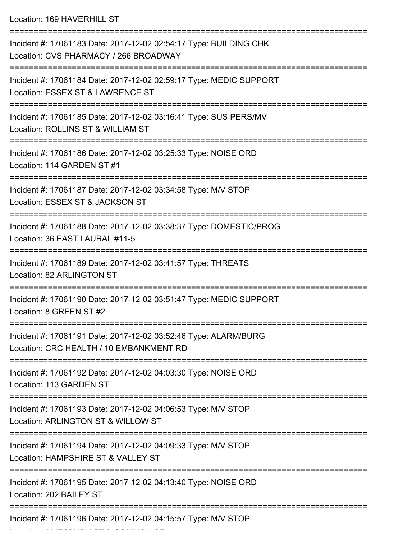Location: 169 HAVERHILL ST

| Incident #: 17061183 Date: 2017-12-02 02:54:17 Type: BUILDING CHK<br>Location: CVS PHARMACY / 266 BROADWAY<br>--------------------------- |
|-------------------------------------------------------------------------------------------------------------------------------------------|
| Incident #: 17061184 Date: 2017-12-02 02:59:17 Type: MEDIC SUPPORT<br>Location: ESSEX ST & LAWRENCE ST                                    |
| Incident #: 17061185 Date: 2017-12-02 03:16:41 Type: SUS PERS/MV<br>Location: ROLLINS ST & WILLIAM ST                                     |
| Incident #: 17061186 Date: 2017-12-02 03:25:33 Type: NOISE ORD<br>Location: 114 GARDEN ST #1                                              |
| Incident #: 17061187 Date: 2017-12-02 03:34:58 Type: M/V STOP<br>Location: ESSEX ST & JACKSON ST                                          |
| Incident #: 17061188 Date: 2017-12-02 03:38:37 Type: DOMESTIC/PROG<br>Location: 36 EAST LAURAL #11-5                                      |
| Incident #: 17061189 Date: 2017-12-02 03:41:57 Type: THREATS<br><b>Location: 82 ARLINGTON ST</b>                                          |
| Incident #: 17061190 Date: 2017-12-02 03:51:47 Type: MEDIC SUPPORT<br>Location: 8 GREEN ST #2                                             |
| Incident #: 17061191 Date: 2017-12-02 03:52:46 Type: ALARM/BURG<br>Location: CRC HEALTH / 10 EMBANKMENT RD                                |
| Incident #: 17061192 Date: 2017-12-02 04:03:30 Type: NOISE ORD<br>Location: 113 GARDEN ST                                                 |
| Incident #: 17061193 Date: 2017-12-02 04:06:53 Type: M/V STOP<br>Location: ARLINGTON ST & WILLOW ST                                       |
| Incident #: 17061194 Date: 2017-12-02 04:09:33 Type: M/V STOP<br>Location: HAMPSHIRE ST & VALLEY ST                                       |
| Incident #: 17061195 Date: 2017-12-02 04:13:40 Type: NOISE ORD<br>Location: 202 BAILEY ST                                                 |
| Incident #: 17061196 Date: 2017-12-02 04:15:57 Type: M/V STOP                                                                             |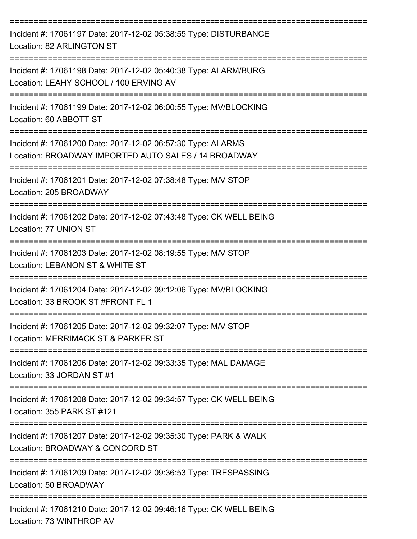| Incident #: 17061197 Date: 2017-12-02 05:38:55 Type: DISTURBANCE<br>Location: 82 ARLINGTON ST                                 |
|-------------------------------------------------------------------------------------------------------------------------------|
| Incident #: 17061198 Date: 2017-12-02 05:40:38 Type: ALARM/BURG<br>Location: LEAHY SCHOOL / 100 ERVING AV                     |
| Incident #: 17061199 Date: 2017-12-02 06:00:55 Type: MV/BLOCKING<br>Location: 60 ABBOTT ST                                    |
| Incident #: 17061200 Date: 2017-12-02 06:57:30 Type: ALARMS<br>Location: BROADWAY IMPORTED AUTO SALES / 14 BROADWAY           |
| Incident #: 17061201 Date: 2017-12-02 07:38:48 Type: M/V STOP<br>Location: 205 BROADWAY                                       |
| Incident #: 17061202 Date: 2017-12-02 07:43:48 Type: CK WELL BEING<br>Location: 77 UNION ST                                   |
| Incident #: 17061203 Date: 2017-12-02 08:19:55 Type: M/V STOP<br>Location: LEBANON ST & WHITE ST                              |
| Incident #: 17061204 Date: 2017-12-02 09:12:06 Type: MV/BLOCKING<br>Location: 33 BROOK ST #FRONT FL 1                         |
| Incident #: 17061205 Date: 2017-12-02 09:32:07 Type: M/V STOP<br>Location: MERRIMACK ST & PARKER ST                           |
| =============================<br>Incident #: 17061206 Date: 2017-12-02 09:33:35 Type: MAL DAMAGE<br>Location: 33 JORDAN ST #1 |
| Incident #: 17061208 Date: 2017-12-02 09:34:57 Type: CK WELL BEING<br>Location: 355 PARK ST #121                              |
| Incident #: 17061207 Date: 2017-12-02 09:35:30 Type: PARK & WALK<br>Location: BROADWAY & CONCORD ST                           |
| Incident #: 17061209 Date: 2017-12-02 09:36:53 Type: TRESPASSING<br>Location: 50 BROADWAY                                     |
| Incident #: 17061210 Date: 2017-12-02 09:46:16 Type: CK WELL BEING<br>Location: 73 WINTHROP AV                                |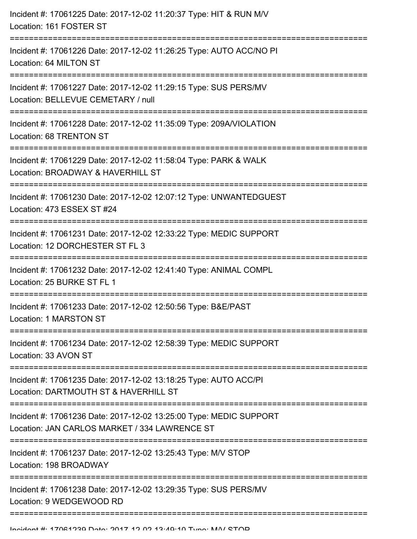| Incident #: 17061225 Date: 2017-12-02 11:20:37 Type: HIT & RUN M/V<br>Location: 161 FOSTER ST                       |
|---------------------------------------------------------------------------------------------------------------------|
| Incident #: 17061226 Date: 2017-12-02 11:26:25 Type: AUTO ACC/NO PI<br>Location: 64 MILTON ST                       |
| Incident #: 17061227 Date: 2017-12-02 11:29:15 Type: SUS PERS/MV<br>Location: BELLEVUE CEMETARY / null              |
| Incident #: 17061228 Date: 2017-12-02 11:35:09 Type: 209A/VIOLATION<br>Location: 68 TRENTON ST                      |
| Incident #: 17061229 Date: 2017-12-02 11:58:04 Type: PARK & WALK<br>Location: BROADWAY & HAVERHILL ST               |
| Incident #: 17061230 Date: 2017-12-02 12:07:12 Type: UNWANTEDGUEST<br>Location: 473 ESSEX ST #24                    |
| Incident #: 17061231 Date: 2017-12-02 12:33:22 Type: MEDIC SUPPORT<br>Location: 12 DORCHESTER ST FL 3               |
| Incident #: 17061232 Date: 2017-12-02 12:41:40 Type: ANIMAL COMPL<br>Location: 25 BURKE ST FL 1                     |
| Incident #: 17061233 Date: 2017-12-02 12:50:56 Type: B&E/PAST<br>Location: 1 MARSTON ST                             |
| Incident #: 17061234 Date: 2017-12-02 12:58:39 Type: MEDIC SUPPORT<br>Location: 33 AVON ST                          |
| Incident #: 17061235 Date: 2017-12-02 13:18:25 Type: AUTO ACC/PI<br>Location: DARTMOUTH ST & HAVERHILL ST           |
| Incident #: 17061236 Date: 2017-12-02 13:25:00 Type: MEDIC SUPPORT<br>Location: JAN CARLOS MARKET / 334 LAWRENCE ST |
| Incident #: 17061237 Date: 2017-12-02 13:25:43 Type: M/V STOP<br>Location: 198 BROADWAY                             |
| Incident #: 17061238 Date: 2017-12-02 13:29:35 Type: SUS PERS/MV<br>Location: 9 WEDGEWOOD RD                        |
|                                                                                                                     |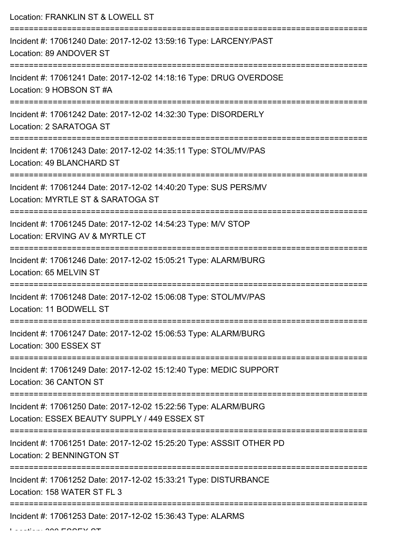| Location: FRANKLIN ST & LOWELL ST                                                                                             |
|-------------------------------------------------------------------------------------------------------------------------------|
| Incident #: 17061240 Date: 2017-12-02 13:59:16 Type: LARCENY/PAST<br>Location: 89 ANDOVER ST<br>============================= |
| Incident #: 17061241 Date: 2017-12-02 14:18:16 Type: DRUG OVERDOSE<br>Location: 9 HOBSON ST #A                                |
| Incident #: 17061242 Date: 2017-12-02 14:32:30 Type: DISORDERLY<br>Location: 2 SARATOGA ST                                    |
| Incident #: 17061243 Date: 2017-12-02 14:35:11 Type: STOL/MV/PAS<br>Location: 49 BLANCHARD ST                                 |
| Incident #: 17061244 Date: 2017-12-02 14:40:20 Type: SUS PERS/MV<br>Location: MYRTLE ST & SARATOGA ST                         |
| Incident #: 17061245 Date: 2017-12-02 14:54:23 Type: M/V STOP<br>Location: ERVING AV & MYRTLE CT                              |
| Incident #: 17061246 Date: 2017-12-02 15:05:21 Type: ALARM/BURG<br>Location: 65 MELVIN ST                                     |
| ------------------------------<br>Incident #: 17061248 Date: 2017-12-02 15:06:08 Type: STOL/MV/PAS<br>Location: 11 BODWELL ST |
| Incident #: 17061247 Date: 2017-12-02 15:06:53 Type: ALARM/BURG<br>Location: 300 ESSEX ST                                     |
| Incident #: 17061249 Date: 2017-12-02 15:12:40 Type: MEDIC SUPPORT<br>Location: 36 CANTON ST                                  |
| Incident #: 17061250 Date: 2017-12-02 15:22:56 Type: ALARM/BURG<br>Location: ESSEX BEAUTY SUPPLY / 449 ESSEX ST               |
| Incident #: 17061251 Date: 2017-12-02 15:25:20 Type: ASSSIT OTHER PD<br>Location: 2 BENNINGTON ST                             |
| Incident #: 17061252 Date: 2017-12-02 15:33:21 Type: DISTURBANCE<br>Location: 158 WATER ST FL 3                               |
| Incident #: 17061253 Date: 2017-12-02 15:36:43 Type: ALARMS                                                                   |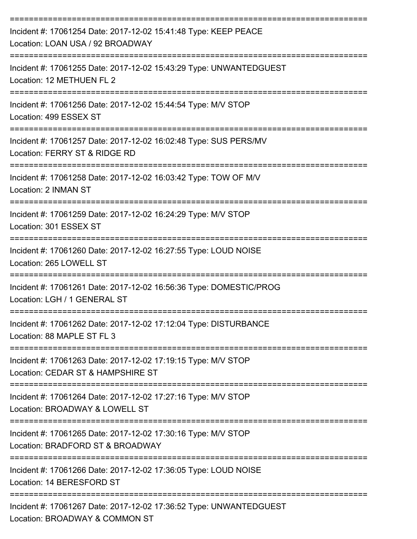| Incident #: 17061254 Date: 2017-12-02 15:41:48 Type: KEEP PEACE<br>Location: LOAN USA / 92 BROADWAY                                                                          |
|------------------------------------------------------------------------------------------------------------------------------------------------------------------------------|
| Incident #: 17061255 Date: 2017-12-02 15:43:29 Type: UNWANTEDGUEST<br>Location: 12 METHUEN FL 2                                                                              |
| Incident #: 17061256 Date: 2017-12-02 15:44:54 Type: M/V STOP<br>Location: 499 ESSEX ST                                                                                      |
| Incident #: 17061257 Date: 2017-12-02 16:02:48 Type: SUS PERS/MV<br>Location: FERRY ST & RIDGE RD                                                                            |
| Incident #: 17061258 Date: 2017-12-02 16:03:42 Type: TOW OF M/V<br>Location: 2 INMAN ST                                                                                      |
| Incident #: 17061259 Date: 2017-12-02 16:24:29 Type: M/V STOP<br>Location: 301 ESSEX ST                                                                                      |
| Incident #: 17061260 Date: 2017-12-02 16:27:55 Type: LOUD NOISE<br>Location: 265 LOWELL ST                                                                                   |
| Incident #: 17061261 Date: 2017-12-02 16:56:36 Type: DOMESTIC/PROG<br>Location: LGH / 1 GENERAL ST                                                                           |
| Incident #: 17061262 Date: 2017-12-02 17:12:04 Type: DISTURBANCE<br>Location: 88 MAPLE ST FL 3                                                                               |
| -------------------------------------<br>=============================<br>Incident #: 17061263 Date: 2017-12-02 17:19:15 Type: M/V STOP<br>Location: CEDAR ST & HAMPSHIRE ST |
| Incident #: 17061264 Date: 2017-12-02 17:27:16 Type: M/V STOP<br>Location: BROADWAY & LOWELL ST                                                                              |
| :===============================<br>Incident #: 17061265 Date: 2017-12-02 17:30:16 Type: M/V STOP<br>Location: BRADFORD ST & BROADWAY                                        |
| Incident #: 17061266 Date: 2017-12-02 17:36:05 Type: LOUD NOISE<br>Location: 14 BERESFORD ST                                                                                 |
| Incident #: 17061267 Date: 2017-12-02 17:36:52 Type: UNWANTEDGUEST<br>Location: BROADWAY & COMMON ST                                                                         |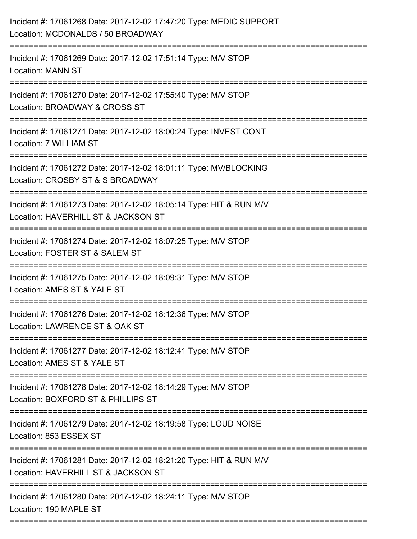| Incident #: 17061268 Date: 2017-12-02 17:47:20 Type: MEDIC SUPPORT<br>Location: MCDONALDS / 50 BROADWAY                                     |
|---------------------------------------------------------------------------------------------------------------------------------------------|
| Incident #: 17061269 Date: 2017-12-02 17:51:14 Type: M/V STOP<br><b>Location: MANN ST</b>                                                   |
| Incident #: 17061270 Date: 2017-12-02 17:55:40 Type: M/V STOP<br>Location: BROADWAY & CROSS ST                                              |
| Incident #: 17061271 Date: 2017-12-02 18:00:24 Type: INVEST CONT<br>Location: 7 WILLIAM ST                                                  |
| Incident #: 17061272 Date: 2017-12-02 18:01:11 Type: MV/BLOCKING<br>Location: CROSBY ST & S BROADWAY                                        |
| Incident #: 17061273 Date: 2017-12-02 18:05:14 Type: HIT & RUN M/V<br>Location: HAVERHILL ST & JACKSON ST<br>=====================          |
| Incident #: 17061274 Date: 2017-12-02 18:07:25 Type: M/V STOP<br>Location: FOSTER ST & SALEM ST                                             |
| Incident #: 17061275 Date: 2017-12-02 18:09:31 Type: M/V STOP<br>Location: AMES ST & YALE ST                                                |
| Incident #: 17061276 Date: 2017-12-02 18:12:36 Type: M/V STOP<br>Location: LAWRENCE ST & OAK ST                                             |
| Incident #: 17061277 Date: 2017-12-02 18:12:41 Type: M/V STOP<br>Location: AMES ST & YALE ST                                                |
| Incident #: 17061278 Date: 2017-12-02 18:14:29 Type: M/V STOP<br>Location: BOXFORD ST & PHILLIPS ST                                         |
| Incident #: 17061279 Date: 2017-12-02 18:19:58 Type: LOUD NOISE<br>Location: 853 ESSEX ST                                                   |
| Incident #: 17061281 Date: 2017-12-02 18:21:20 Type: HIT & RUN M/V<br>Location: HAVERHILL ST & JACKSON ST                                   |
| ---------------------------<br>Incident #: 17061280 Date: 2017-12-02 18:24:11 Type: M/V STOP<br>Location: 190 MAPLE ST<br>:================ |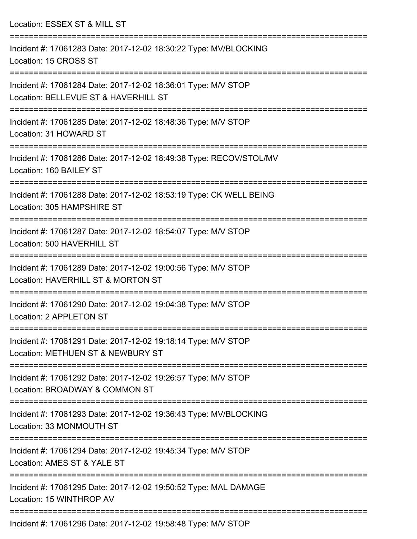Location: ESSEX ST & MILL ST

| Incident #: 17061283 Date: 2017-12-02 18:30:22 Type: MV/BLOCKING<br>Location: 15 CROSS ST             |
|-------------------------------------------------------------------------------------------------------|
| Incident #: 17061284 Date: 2017-12-02 18:36:01 Type: M/V STOP<br>Location: BELLEVUE ST & HAVERHILL ST |
| Incident #: 17061285 Date: 2017-12-02 18:48:36 Type: M/V STOP<br>Location: 31 HOWARD ST               |
| Incident #: 17061286 Date: 2017-12-02 18:49:38 Type: RECOV/STOL/MV<br>Location: 160 BAILEY ST         |
| Incident #: 17061288 Date: 2017-12-02 18:53:19 Type: CK WELL BEING<br>Location: 305 HAMPSHIRE ST      |
| Incident #: 17061287 Date: 2017-12-02 18:54:07 Type: M/V STOP<br>Location: 500 HAVERHILL ST           |
| Incident #: 17061289 Date: 2017-12-02 19:00:56 Type: M/V STOP<br>Location: HAVERHILL ST & MORTON ST   |
| Incident #: 17061290 Date: 2017-12-02 19:04:38 Type: M/V STOP<br>Location: 2 APPLETON ST              |
| Incident #: 17061291 Date: 2017-12-02 19:18:14 Type: M/V STOP<br>Location: METHUEN ST & NEWBURY ST    |
| Incident #: 17061292 Date: 2017-12-02 19:26:57 Type: M/V STOP<br>Location: BROADWAY & COMMON ST       |
| Incident #: 17061293 Date: 2017-12-02 19:36:43 Type: MV/BLOCKING<br>Location: 33 MONMOUTH ST          |
| Incident #: 17061294 Date: 2017-12-02 19:45:34 Type: M/V STOP<br>Location: AMES ST & YALE ST          |
| Incident #: 17061295 Date: 2017-12-02 19:50:52 Type: MAL DAMAGE<br>Location: 15 WINTHROP AV           |
| Incident #: 17061296 Date: 2017-12-02 19:58:48 Type: M/V STOP                                         |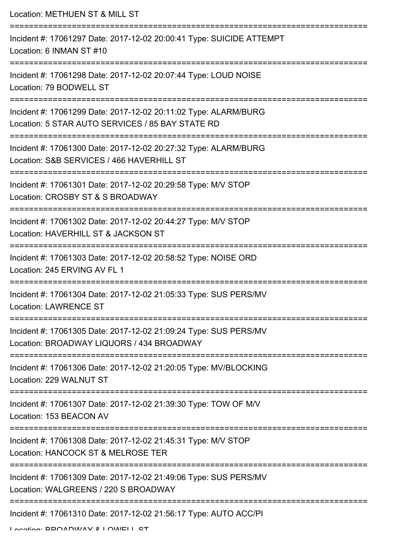Location: METHUEN ST & MILL ST =========================================================================== Incident #: 17061297 Date: 2017-12-02 20:00:41 Type: SUICIDE ATTEMPT Location: 6 INMAN ST #10 =========================================================================== Incident #: 17061298 Date: 2017-12-02 20:07:44 Type: LOUD NOISE Location: 79 BODWELL ST =========================================================================== Incident #: 17061299 Date: 2017-12-02 20:11:02 Type: ALARM/BURG Location: 5 STAR AUTO SERVICES / 85 BAY STATE RD =========================================================================== Incident #: 17061300 Date: 2017-12-02 20:27:32 Type: ALARM/BURG Location: S&B SERVICES / 466 HAVERHILL ST =========================================================================== Incident #: 17061301 Date: 2017-12-02 20:29:58 Type: M/V STOP Location: CROSBY ST & S BROADWAY =========================================================================== Incident #: 17061302 Date: 2017-12-02 20:44:27 Type: M/V STOP Location: HAVERHILL ST & JACKSON ST =========================================================================== Incident #: 17061303 Date: 2017-12-02 20:58:52 Type: NOISE ORD Location: 245 ERVING AV FL 1 =========================================================================== Incident #: 17061304 Date: 2017-12-02 21:05:33 Type: SUS PERS/MV Location: LAWRENCE ST =========================================================================== Incident #: 17061305 Date: 2017-12-02 21:09:24 Type: SUS PERS/MV Location: BROADWAY LIQUORS / 434 BROADWAY =========================================================================== Incident #: 17061306 Date: 2017-12-02 21:20:05 Type: MV/BLOCKING Location: 229 WALNUT ST =========================================================================== Incident #: 17061307 Date: 2017-12-02 21:39:30 Type: TOW OF M/V Location: 153 BEACON AV =========================================================================== Incident #: 17061308 Date: 2017-12-02 21:45:31 Type: M/V STOP Location: HANCOCK ST & MELROSE TER =========================================================================== Incident #: 17061309 Date: 2017-12-02 21:49:06 Type: SUS PERS/MV Location: WALGREENS / 220 S BROADWAY =========================================================================== Incident #: 17061310 Date: 2017-12-02 21:56:17 Type: AUTO ACC/PI

Location: BROADWAY & LOWELL ST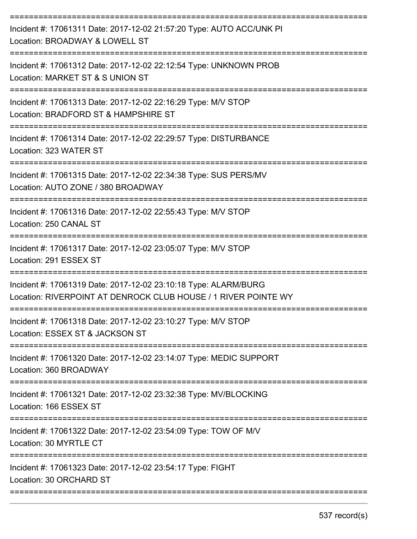| Incident #: 17061311 Date: 2017-12-02 21:57:20 Type: AUTO ACC/UNK PI<br>Location: BROADWAY & LOWELL ST                            |
|-----------------------------------------------------------------------------------------------------------------------------------|
| Incident #: 17061312 Date: 2017-12-02 22:12:54 Type: UNKNOWN PROB<br>Location: MARKET ST & S UNION ST                             |
| Incident #: 17061313 Date: 2017-12-02 22:16:29 Type: M/V STOP<br>Location: BRADFORD ST & HAMPSHIRE ST<br>=======================  |
| Incident #: 17061314 Date: 2017-12-02 22:29:57 Type: DISTURBANCE<br>Location: 323 WATER ST                                        |
| Incident #: 17061315 Date: 2017-12-02 22:34:38 Type: SUS PERS/MV<br>Location: AUTO ZONE / 380 BROADWAY                            |
| Incident #: 17061316 Date: 2017-12-02 22:55:43 Type: M/V STOP<br>Location: 250 CANAL ST                                           |
| Incident #: 17061317 Date: 2017-12-02 23:05:07 Type: M/V STOP<br>Location: 291 ESSEX ST                                           |
| Incident #: 17061319 Date: 2017-12-02 23:10:18 Type: ALARM/BURG<br>Location: RIVERPOINT AT DENROCK CLUB HOUSE / 1 RIVER POINTE WY |
| Incident #: 17061318 Date: 2017-12-02 23:10:27 Type: M/V STOP<br>Location: ESSEX ST & JACKSON ST                                  |
| Incident #: 17061320 Date: 2017-12-02 23:14:07 Type: MEDIC SUPPORT<br>Location: 360 BROADWAY                                      |
| Incident #: 17061321 Date: 2017-12-02 23:32:38 Type: MV/BLOCKING<br>Location: 166 ESSEX ST                                        |
| Incident #: 17061322 Date: 2017-12-02 23:54:09 Type: TOW OF M/V<br>Location: 30 MYRTLE CT                                         |
| Incident #: 17061323 Date: 2017-12-02 23:54:17 Type: FIGHT<br>Location: 30 ORCHARD ST                                             |
|                                                                                                                                   |